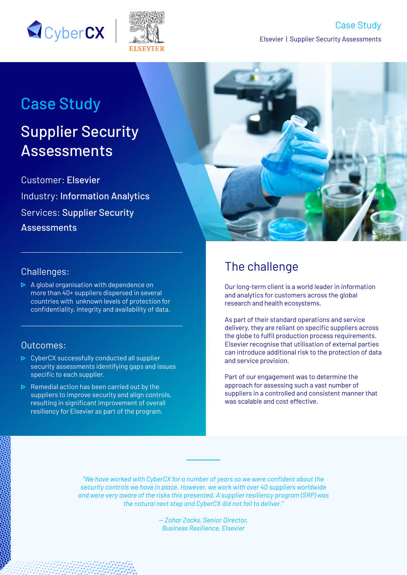



# Case Study

# Supplier Security Assessments

Customer: Elsevier Industry: Information Analytics Services: Supplier Security **Assessments** 



#### Challenges:

 $\triangleright$  A global organisation with dependence on more than 40+ suppliers dispersed in several countries with unknown levels of protection for confidentiality, integrity and availability of data.

#### Outcomes:

- ▶ CyberCX successfully conducted all supplier security assessments identifying gaps and issues specific to each supplier.
- $\triangleright$  Remedial action has been carried out by the suppliers to improve security and align controls, resulting in significant improvement of overall resiliency for Elsevier as part of the program.

## The challenge

Our long-term client is a world leader in information and analytics for customers across the global research and health ecosystems.

As part of their standard operations and service delivery, they are reliant on specific suppliers across the globe to fulfil production process requirements. Elsevier recognise that utilisation of external parties can introduce additional risk to the protection of data and service provision.

Part of our engagement was to determine the approach for assessing such a vast number of suppliers in a controlled and consistent manner that was scalable and cost effective.

*"We have worked with CyberCX for a number of years so we were confident about the security controls we have in place. However, we work with over 40 suppliers worldwide and were very aware of the risks this presented. A supplier resiliency program (SRP) was the natural next step and CyberCX did not fail to deliver."*

> *— Zohar Zacks, Senior Director, Business Resilience, Elsevier*